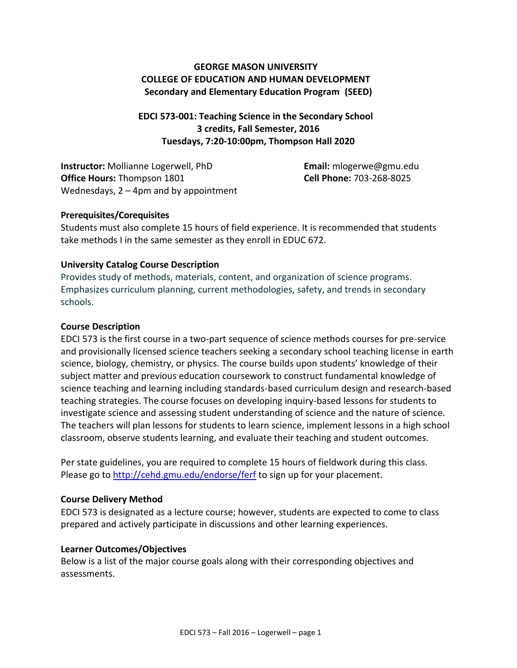## **GEORGE MASON UNIVERSITY COLLEGE OF EDUCATION AND HUMAN DEVELOPMENT Secondary and Elementary Education Program (SEED)**

**EDCI 573-001: Teaching Science in the Secondary School 3 credits, Fall Semester, 2016 Tuesdays, 7:20-10:00pm, Thompson Hall 2020**

**Instructor:** Mollianne Logerwell, PhD **Email:** mlogerwe@gmu.edu **Office Hours:** Thompson 1801 **Cell Phone:** 703-268-8025 Wednesdays, 2 – 4pm and by appointment

#### **Prerequisites/Corequisites**

Students must also complete 15 hours of field experience. It is recommended that students take methods I in the same semester as they enroll in EDUC 672.

#### **University Catalog Course Description**

Provides study of methods, materials, content, and organization of science programs. Emphasizes curriculum planning, current methodologies, safety, and trends in secondary schools.

#### **Course Description**

EDCI 573 is the first course in a two-part sequence of science methods courses for pre-service and provisionally licensed science teachers seeking a secondary school teaching license in earth science, biology, chemistry, or physics. The course builds upon students' knowledge of their subject matter and previous education coursework to construct fundamental knowledge of science teaching and learning including standards-based curriculum design and research-based teaching strategies. The course focuses on developing inquiry-based lessons for students to investigate science and assessing student understanding of science and the nature of science. The teachers will plan lessons for students to learn science, implement lessons in a high school classroom, observe students learning, and evaluate their teaching and student outcomes.

Per state guidelines, you are required to complete 15 hours of fieldwork during this class. Please go to<http://cehd.gmu.edu/endorse/ferf> to sign up for your placement.

#### **Course Delivery Method**

EDCI 573 is designated as a lecture course; however, students are expected to come to class prepared and actively participate in discussions and other learning experiences.

#### **Learner Outcomes/Objectives**

Below is a list of the major course goals along with their corresponding objectives and assessments.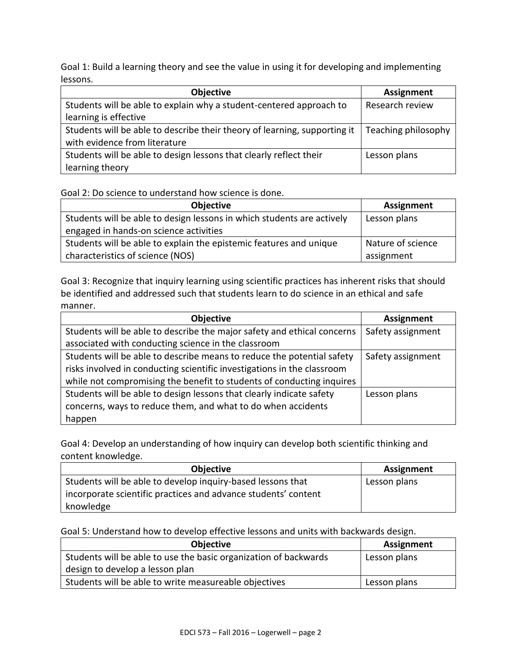Goal 1: Build a learning theory and see the value in using it for developing and implementing lessons.

| <b>Objective</b>                                                          | <b>Assignment</b>   |
|---------------------------------------------------------------------------|---------------------|
| Students will be able to explain why a student-centered approach to       | Research review     |
| learning is effective                                                     |                     |
| Students will be able to describe their theory of learning, supporting it | Teaching philosophy |
| with evidence from literature                                             |                     |
| Students will be able to design lessons that clearly reflect their        | Lesson plans        |
| learning theory                                                           |                     |

#### Goal 2: Do science to understand how science is done.

| <b>Objective</b>                                                       | <b>Assignment</b> |
|------------------------------------------------------------------------|-------------------|
| Students will be able to design lessons in which students are actively | Lesson plans      |
| engaged in hands-on science activities                                 |                   |
| Students will be able to explain the epistemic features and unique     | Nature of science |
| characteristics of science (NOS)                                       | assignment        |

Goal 3: Recognize that inquiry learning using scientific practices has inherent risks that should be identified and addressed such that students learn to do science in an ethical and safe manner.

| <b>Objective</b>                                                        | <b>Assignment</b> |
|-------------------------------------------------------------------------|-------------------|
| Students will be able to describe the major safety and ethical concerns | Safety assignment |
| associated with conducting science in the classroom                     |                   |
| Students will be able to describe means to reduce the potential safety  | Safety assignment |
| risks involved in conducting scientific investigations in the classroom |                   |
| while not compromising the benefit to students of conducting inquires   |                   |
| Students will be able to design lessons that clearly indicate safety    | Lesson plans      |
| concerns, ways to reduce them, and what to do when accidents            |                   |
| happen                                                                  |                   |

Goal 4: Develop an understanding of how inquiry can develop both scientific thinking and content knowledge.

| <b>Objective</b>                                               | Assignment   |
|----------------------------------------------------------------|--------------|
| Students will be able to develop inquiry-based lessons that    | Lesson plans |
| incorporate scientific practices and advance students' content |              |
| knowledge                                                      |              |

Goal 5: Understand how to develop effective lessons and units with backwards design.

| <b>Objective</b>                                                 | Assignment   |
|------------------------------------------------------------------|--------------|
| Students will be able to use the basic organization of backwards | Lesson plans |
| design to develop a lesson plan                                  |              |
| Students will be able to write measureable objectives            | Lesson plans |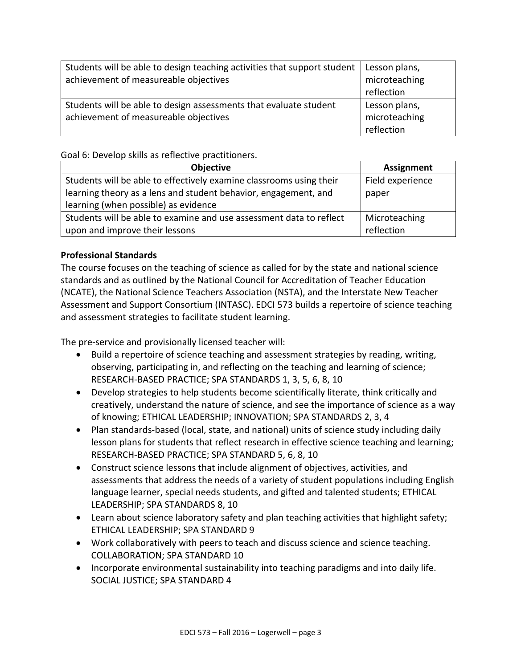| Students will be able to design teaching activities that support student<br>achievement of measureable objectives | Lesson plans,<br>microteaching<br>reflection |
|-------------------------------------------------------------------------------------------------------------------|----------------------------------------------|
| Students will be able to design assessments that evaluate student<br>achievement of measureable objectives        | Lesson plans,<br>microteaching<br>reflection |

Goal 6: Develop skills as reflective practitioners.

| <b>Objective</b>                                                    | <b>Assignment</b> |
|---------------------------------------------------------------------|-------------------|
| Students will be able to effectively examine classrooms using their | Field experience  |
| learning theory as a lens and student behavior, engagement, and     | paper             |
| learning (when possible) as evidence                                |                   |
| Students will be able to examine and use assessment data to reflect | Microteaching     |
| upon and improve their lessons                                      | reflection        |

## **Professional Standards**

The course focuses on the teaching of science as called for by the state and national science standards and as outlined by the National Council for Accreditation of Teacher Education (NCATE), the National Science Teachers Association (NSTA), and the Interstate New Teacher Assessment and Support Consortium (INTASC). EDCI 573 builds a repertoire of science teaching and assessment strategies to facilitate student learning.

The pre-service and provisionally licensed teacher will:

- Build a repertoire of science teaching and assessment strategies by reading, writing, observing, participating in, and reflecting on the teaching and learning of science; RESEARCH-BASED PRACTICE; SPA STANDARDS 1, 3, 5, 6, 8, 10
- Develop strategies to help students become scientifically literate, think critically and creatively, understand the nature of science, and see the importance of science as a way of knowing; ETHICAL LEADERSHIP; INNOVATION; SPA STANDARDS 2, 3, 4
- Plan standards-based (local, state, and national) units of science study including daily lesson plans for students that reflect research in effective science teaching and learning; RESEARCH-BASED PRACTICE; SPA STANDARD 5, 6, 8, 10
- Construct science lessons that include alignment of objectives, activities, and assessments that address the needs of a variety of student populations including English language learner, special needs students, and gifted and talented students; ETHICAL LEADERSHIP; SPA STANDARDS 8, 10
- Learn about science laboratory safety and plan teaching activities that highlight safety; ETHICAL LEADERSHIP; SPA STANDARD 9
- Work collaboratively with peers to teach and discuss science and science teaching. COLLABORATION; SPA STANDARD 10
- Incorporate environmental sustainability into teaching paradigms and into daily life. SOCIAL JUSTICE; SPA STANDARD 4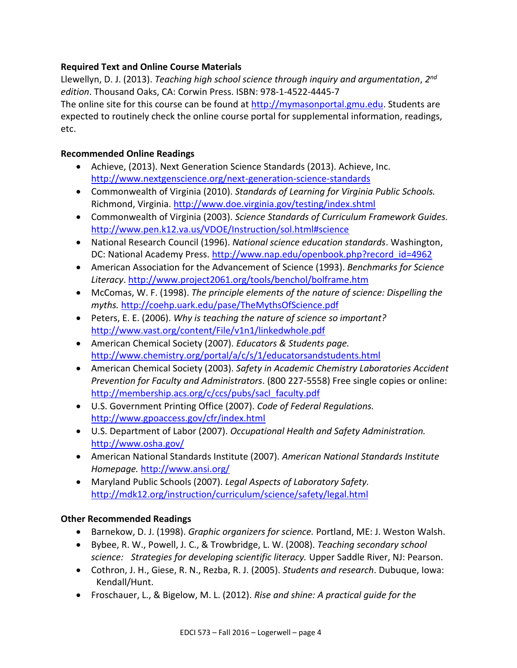## **Required Text and Online Course Materials**

Llewellyn, D. J. (2013). *Teaching high school science through inquiry and argumentation*, *2 nd edition*. Thousand Oaks, CA: Corwin Press. ISBN: 978-1-4522-4445-7

The online site for this course can be found at [http://mymasonportal.gmu.edu.](http://mymasonportal.gmu.edu/) Students are expected to routinely check the online course portal for supplemental information, readings, etc.

#### **Recommended Online Readings**

- Achieve, (2013). Next Generation Science Standards (2013). Achieve, Inc. <http://www.nextgenscience.org/next-generation-science-standards>
- Commonwealth of Virginia (2010). *Standards of Learning for Virginia Public Schools.*  Richmond, Virginia.<http://www.doe.virginia.gov/testing/index.shtml>
- Commonwealth of Virginia (2003). *Science Standards of Curriculum Framework Guides.*  <http://www.pen.k12.va.us/VDOE/Instruction/sol.html#science>
- National Research Council (1996). *National science education standards*. Washington, DC: National Academy Press. [http://www.nap.edu/openbook.php?record\\_id=4962](http://www.nap.edu/openbook.php?record_id=4962)
- American Association for the Advancement of Science (1993). *Benchmarks for Science Literacy*.<http://www.project2061.org/tools/benchol/bolframe.htm>
- McComas, W. F. (1998). *The principle elements of the nature of science: Dispelling the myths.* <http://coehp.uark.edu/pase/TheMythsOfScience.pdf>
- Peters, E. E. (2006). *Why is teaching the nature of science so important?*  <http://www.vast.org/content/File/v1n1/linkedwhole.pdf>
- American Chemical Society (2007). *Educators & Students page.*  <http://www.chemistry.org/portal/a/c/s/1/educatorsandstudents.html>
- American Chemical Society (2003). *Safety in Academic Chemistry Laboratories Accident Prevention for Faculty and Administrators*. (800 227-5558) Free single copies or online: [http://membership.acs.org/c/ccs/pubs/sacl\\_faculty.pdf](http://membership.acs.org/c/ccs/pubs/sacl_faculty.pdf)
- U.S. Government Printing Office (2007). *Code of Federal Regulations.*  <http://www.gpoaccess.gov/cfr/index.html>
- U.S. Department of Labor (2007). *Occupational Health and Safety Administration.*  <http://www.osha.gov/>
- American National Standards Institute (2007). *American National Standards Institute Homepage.* <http://www.ansi.org/>
- Maryland Public Schools (2007). *Legal Aspects of Laboratory Safety.*  <http://mdk12.org/instruction/curriculum/science/safety/legal.html>

## **Other Recommended Readings**

- Barnekow, D. J. (1998). *Graphic organizers for science.* Portland, ME: J. Weston Walsh.
- Bybee, R. W., Powell, J. C., & Trowbridge, L. W. (2008). *Teaching secondary school science: Strategies for developing scientific literacy.* Upper Saddle River, NJ: Pearson.
- Cothron, J. H., Giese, R. N., Rezba, R. J. (2005). *Students and research*. Dubuque, Iowa: Kendall/Hunt.
- Froschauer, L., & Bigelow, M. L. (2012). *Rise and shine: A practical guide for the*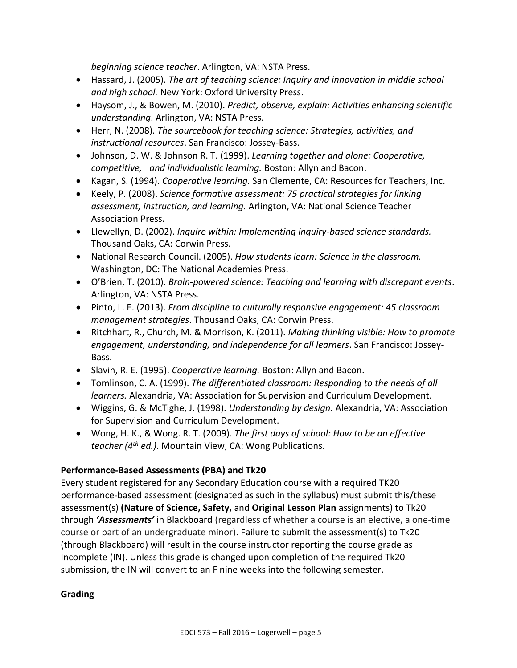*beginning science teacher*. Arlington, VA: NSTA Press.

- Hassard, J. (2005). *The art of teaching science: Inquiry and innovation in middle school and high school.* New York: Oxford University Press.
- Haysom, J., & Bowen, M. (2010). *Predict, observe, explain: Activities enhancing scientific understanding*. Arlington, VA: NSTA Press.
- Herr, N. (2008). *The sourcebook for teaching science: Strategies, activities, and instructional resources*. San Francisco: Jossey-Bass.
- Johnson, D. W. & Johnson R. T. (1999). *Learning together and alone: Cooperative, competitive, and individualistic learning.* Boston: Allyn and Bacon.
- Kagan, S. (1994). *Cooperative learning.* San Clemente, CA: Resources for Teachers, Inc.
- Keely, P. (2008). *Science formative assessment: 75 practical strategies for linking assessment, instruction, and learning.* Arlington, VA: National Science Teacher Association Press.
- Llewellyn, D. (2002). *Inquire within: Implementing inquiry-based science standards.*  Thousand Oaks, CA: Corwin Press.
- National Research Council. (2005). *How students learn: Science in the classroom.*  Washington, DC: The National Academies Press.
- O'Brien, T. (2010). *Brain-powered science: Teaching and learning with discrepant events*. Arlington, VA: NSTA Press.
- Pinto, L. E. (2013). *From discipline to culturally responsive engagement: 45 classroom management strategies*. Thousand Oaks, CA: Corwin Press.
- Ritchhart, R., Church, M. & Morrison, K. (2011). *Making thinking visible: How to promote engagement, understanding, and independence for all learners*. San Francisco: Jossey-Bass.
- Slavin, R. E. (1995). *Cooperative learning.* Boston: Allyn and Bacon.
- Tomlinson, C. A. (1999). *The differentiated classroom: Responding to the needs of all learners.* Alexandria, VA: Association for Supervision and Curriculum Development.
- Wiggins, G. & McTighe, J. (1998). *Understanding by design.* Alexandria, VA: Association for Supervision and Curriculum Development.
- Wong, H. K., & Wong. R. T. (2009). *The first days of school: How to be an effective teacher (4th ed.)*. Mountain View, CA: Wong Publications.

## **Performance-Based Assessments (PBA) and Tk20**

Every student registered for any Secondary Education course with a required TK20 performance-based assessment (designated as such in the syllabus) must submit this/these assessment(s) **(Nature of Science, Safety,** and **Original Lesson Plan** assignments) to Tk20 through *'Assessments'* in Blackboard (regardless of whether a course is an elective, a one-time course or part of an undergraduate minor). Failure to submit the assessment(s) to Tk20 (through Blackboard) will result in the course instructor reporting the course grade as Incomplete (IN). Unless this grade is changed upon completion of the required Tk20 submission, the IN will convert to an F nine weeks into the following semester.

## **Grading**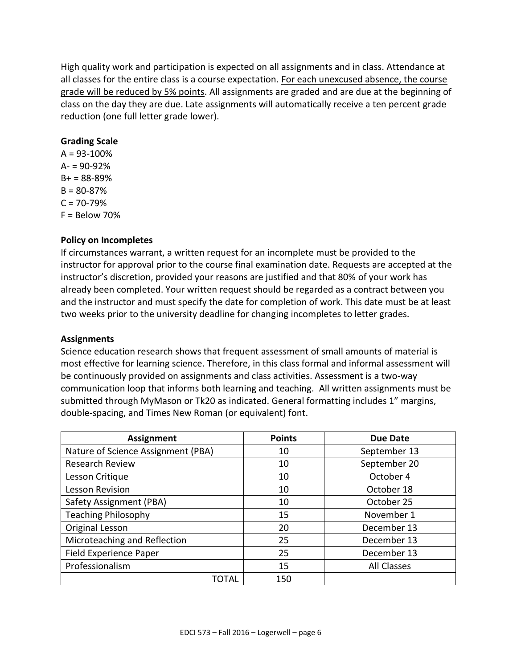High quality work and participation is expected on all assignments and in class. Attendance at all classes for the entire class is a course expectation. For each unexcused absence, the course grade will be reduced by 5% points. All assignments are graded and are due at the beginning of class on the day they are due. Late assignments will automatically receive a ten percent grade reduction (one full letter grade lower).

#### **Grading Scale**

 $A = 93 - 100\%$  $A = 90 - 92%$  $B + = 88 - 89%$  $B = 80 - 87%$  $C = 70 - 79%$  $F =$  Below 70%

#### **Policy on Incompletes**

If circumstances warrant, a written request for an incomplete must be provided to the instructor for approval prior to the course final examination date. Requests are accepted at the instructor's discretion, provided your reasons are justified and that 80% of your work has already been completed. Your written request should be regarded as a contract between you and the instructor and must specify the date for completion of work. This date must be at least two weeks prior to the university deadline for changing incompletes to letter grades.

#### **Assignments**

Science education research shows that frequent assessment of small amounts of material is most effective for learning science. Therefore, in this class formal and informal assessment will be continuously provided on assignments and class activities. Assessment is a two-way communication loop that informs both learning and teaching. All written assignments must be submitted through MyMason or Tk20 as indicated. General formatting includes 1" margins, double-spacing, and Times New Roman (or equivalent) font.

| <b>Assignment</b>                  | <b>Points</b> | <b>Due Date</b>    |
|------------------------------------|---------------|--------------------|
| Nature of Science Assignment (PBA) | 10            | September 13       |
| Research Review                    | 10            | September 20       |
| Lesson Critique                    | 10            | October 4          |
| Lesson Revision                    | 10            | October 18         |
| Safety Assignment (PBA)            | 10            | October 25         |
| <b>Teaching Philosophy</b>         | 15            | November 1         |
| Original Lesson                    | 20            | December 13        |
| Microteaching and Reflection       | 25            | December 13        |
| Field Experience Paper             | 25            | December 13        |
| Professionalism                    | 15            | <b>All Classes</b> |
| TOTAL                              | 150           |                    |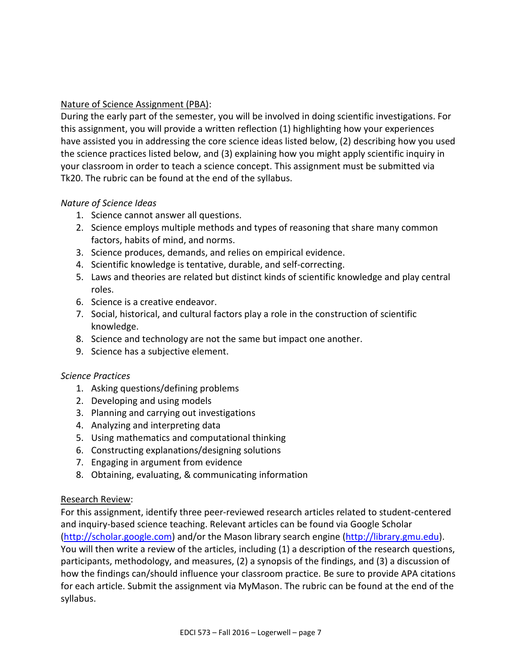## Nature of Science Assignment (PBA):

During the early part of the semester, you will be involved in doing scientific investigations. For this assignment, you will provide a written reflection (1) highlighting how your experiences have assisted you in addressing the core science ideas listed below, (2) describing how you used the science practices listed below, and (3) explaining how you might apply scientific inquiry in your classroom in order to teach a science concept. This assignment must be submitted via Tk20. The rubric can be found at the end of the syllabus.

#### *Nature of Science Ideas*

- 1. Science cannot answer all questions.
- 2. Science employs multiple methods and types of reasoning that share many common factors, habits of mind, and norms.
- 3. Science produces, demands, and relies on empirical evidence.
- 4. Scientific knowledge is tentative, durable, and self-correcting.
- 5. Laws and theories are related but distinct kinds of scientific knowledge and play central roles.
- 6. Science is a creative endeavor.
- 7. Social, historical, and cultural factors play a role in the construction of scientific knowledge.
- 8. Science and technology are not the same but impact one another.
- 9. Science has a subjective element.

## *Science Practices*

- 1. Asking questions/defining problems
- 2. Developing and using models
- 3. Planning and carrying out investigations
- 4. Analyzing and interpreting data
- 5. Using mathematics and computational thinking
- 6. Constructing explanations/designing solutions
- 7. Engaging in argument from evidence
- 8. Obtaining, evaluating, & communicating information

## Research Review:

For this assignment, identify three peer-reviewed research articles related to student-centered and inquiry-based science teaching. Relevant articles can be found via Google Scholar [\(http://scholar.google.com\)](http://scholar.google.com/) and/or the Mason library search engine [\(http://library.gmu.edu\)](http://library.gmu.edu/). You will then write a review of the articles, including (1) a description of the research questions, participants, methodology, and measures, (2) a synopsis of the findings, and (3) a discussion of how the findings can/should influence your classroom practice. Be sure to provide APA citations for each article. Submit the assignment via MyMason. The rubric can be found at the end of the syllabus.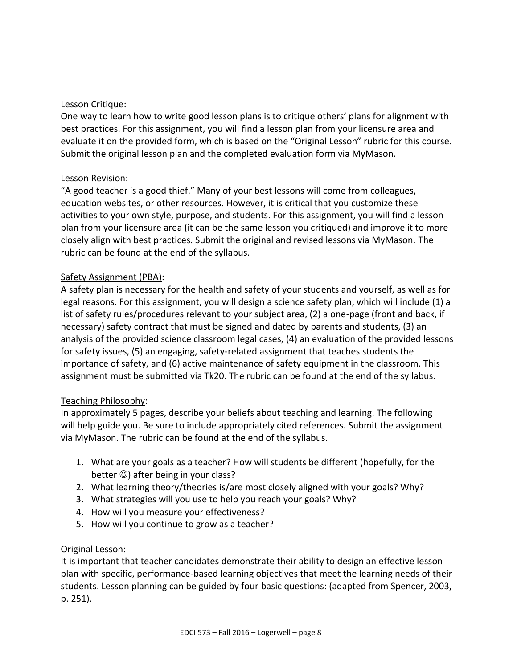#### Lesson Critique:

One way to learn how to write good lesson plans is to critique others' plans for alignment with best practices. For this assignment, you will find a lesson plan from your licensure area and evaluate it on the provided form, which is based on the "Original Lesson" rubric for this course. Submit the original lesson plan and the completed evaluation form via MyMason.

#### Lesson Revision:

"A good teacher is a good thief." Many of your best lessons will come from colleagues, education websites, or other resources. However, it is critical that you customize these activities to your own style, purpose, and students. For this assignment, you will find a lesson plan from your licensure area (it can be the same lesson you critiqued) and improve it to more closely align with best practices. Submit the original and revised lessons via MyMason. The rubric can be found at the end of the syllabus.

#### Safety Assignment (PBA):

A safety plan is necessary for the health and safety of your students and yourself, as well as for legal reasons. For this assignment, you will design a science safety plan, which will include (1) a list of safety rules/procedures relevant to your subject area, (2) a one-page (front and back, if necessary) safety contract that must be signed and dated by parents and students, (3) an analysis of the provided science classroom legal cases, (4) an evaluation of the provided lessons for safety issues, (5) an engaging, safety-related assignment that teaches students the importance of safety, and (6) active maintenance of safety equipment in the classroom. This assignment must be submitted via Tk20. The rubric can be found at the end of the syllabus.

#### Teaching Philosophy:

In approximately 5 pages, describe your beliefs about teaching and learning. The following will help guide you. Be sure to include appropriately cited references. Submit the assignment via MyMason. The rubric can be found at the end of the syllabus.

- 1. What are your goals as a teacher? How will students be different (hopefully, for the better  $\odot$ ) after being in your class?
- 2. What learning theory/theories is/are most closely aligned with your goals? Why?
- 3. What strategies will you use to help you reach your goals? Why?
- 4. How will you measure your effectiveness?
- 5. How will you continue to grow as a teacher?

#### Original Lesson:

It is important that teacher candidates demonstrate their ability to design an effective lesson plan with specific, performance-based learning objectives that meet the learning needs of their students. Lesson planning can be guided by four basic questions: (adapted from Spencer, 2003, p. 251).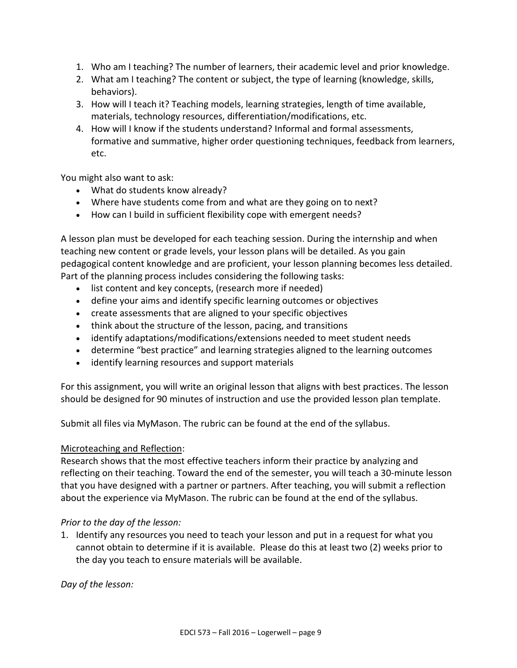- 1. Who am I teaching? The number of learners, their academic level and prior knowledge.
- 2. What am I teaching? The content or subject, the type of learning (knowledge, skills, behaviors).
- 3. How will I teach it? Teaching models, learning strategies, length of time available, materials, technology resources, differentiation/modifications, etc.
- 4. How will I know if the students understand? Informal and formal assessments, formative and summative, higher order questioning techniques, feedback from learners, etc.

You might also want to ask:

- What do students know already?
- Where have students come from and what are they going on to next?
- How can I build in sufficient flexibility cope with emergent needs?

A lesson plan must be developed for each teaching session. During the internship and when teaching new content or grade levels, your lesson plans will be detailed. As you gain pedagogical content knowledge and are proficient, your lesson planning becomes less detailed. Part of the planning process includes considering the following tasks:

- list content and key concepts, (research more if needed)
- define your aims and identify specific learning outcomes or objectives
- create assessments that are aligned to your specific objectives
- think about the structure of the lesson, pacing, and transitions
- identify adaptations/modifications/extensions needed to meet student needs
- determine "best practice" and learning strategies aligned to the learning outcomes
- identify learning resources and support materials

For this assignment, you will write an original lesson that aligns with best practices. The lesson should be designed for 90 minutes of instruction and use the provided lesson plan template.

Submit all files via MyMason. The rubric can be found at the end of the syllabus.

#### Microteaching and Reflection:

Research shows that the most effective teachers inform their practice by analyzing and reflecting on their teaching. Toward the end of the semester, you will teach a 30-minute lesson that you have designed with a partner or partners. After teaching, you will submit a reflection about the experience via MyMason. The rubric can be found at the end of the syllabus.

#### *Prior to the day of the lesson:*

1. Identify any resources you need to teach your lesson and put in a request for what you cannot obtain to determine if it is available. Please do this at least two (2) weeks prior to the day you teach to ensure materials will be available.

*Day of the lesson:*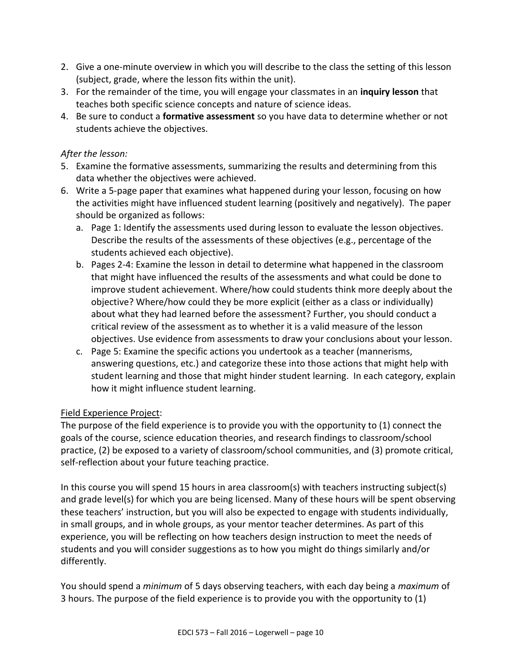- 2. Give a one-minute overview in which you will describe to the class the setting of this lesson (subject, grade, where the lesson fits within the unit).
- 3. For the remainder of the time, you will engage your classmates in an **inquiry lesson** that teaches both specific science concepts and nature of science ideas.
- 4. Be sure to conduct a **formative assessment** so you have data to determine whether or not students achieve the objectives.

## *After the lesson:*

- 5. Examine the formative assessments, summarizing the results and determining from this data whether the objectives were achieved.
- 6. Write a 5-page paper that examines what happened during your lesson, focusing on how the activities might have influenced student learning (positively and negatively). The paper should be organized as follows:
	- a. Page 1: Identify the assessments used during lesson to evaluate the lesson objectives. Describe the results of the assessments of these objectives (e.g., percentage of the students achieved each objective).
	- b. Pages 2-4: Examine the lesson in detail to determine what happened in the classroom that might have influenced the results of the assessments and what could be done to improve student achievement. Where/how could students think more deeply about the objective? Where/how could they be more explicit (either as a class or individually) about what they had learned before the assessment? Further, you should conduct a critical review of the assessment as to whether it is a valid measure of the lesson objectives. Use evidence from assessments to draw your conclusions about your lesson.
	- c. Page 5: Examine the specific actions you undertook as a teacher (mannerisms, answering questions, etc.) and categorize these into those actions that might help with student learning and those that might hinder student learning. In each category, explain how it might influence student learning.

## Field Experience Project:

The purpose of the field experience is to provide you with the opportunity to (1) connect the goals of the course, science education theories, and research findings to classroom/school practice, (2) be exposed to a variety of classroom/school communities, and (3) promote critical, self-reflection about your future teaching practice.

In this course you will spend 15 hours in area classroom(s) with teachers instructing subject(s) and grade level(s) for which you are being licensed. Many of these hours will be spent observing these teachers' instruction, but you will also be expected to engage with students individually, in small groups, and in whole groups, as your mentor teacher determines. As part of this experience, you will be reflecting on how teachers design instruction to meet the needs of students and you will consider suggestions as to how you might do things similarly and/or differently.

You should spend a *minimum* of 5 days observing teachers, with each day being a *maximum* of 3 hours. The purpose of the field experience is to provide you with the opportunity to (1)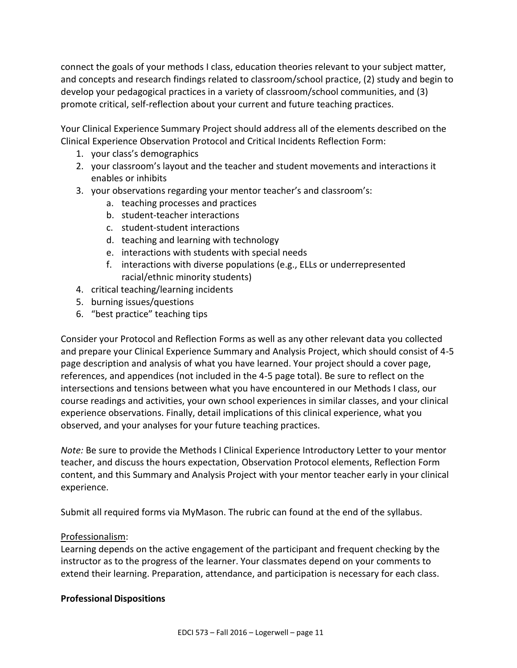connect the goals of your methods I class, education theories relevant to your subject matter, and concepts and research findings related to classroom/school practice, (2) study and begin to develop your pedagogical practices in a variety of classroom/school communities, and (3) promote critical, self-reflection about your current and future teaching practices.

Your Clinical Experience Summary Project should address all of the elements described on the Clinical Experience Observation Protocol and Critical Incidents Reflection Form:

- 1. your class's demographics
- 2. your classroom's layout and the teacher and student movements and interactions it enables or inhibits
- 3. your observations regarding your mentor teacher's and classroom's:
	- a. teaching processes and practices
	- b. student-teacher interactions
	- c. student-student interactions
	- d. teaching and learning with technology
	- e. interactions with students with special needs
	- f. interactions with diverse populations (e.g., ELLs or underrepresented racial/ethnic minority students)
- 4. critical teaching/learning incidents
- 5. burning issues/questions
- 6. "best practice" teaching tips

Consider your Protocol and Reflection Forms as well as any other relevant data you collected and prepare your Clinical Experience Summary and Analysis Project, which should consist of 4-5 page description and analysis of what you have learned. Your project should a cover page, references, and appendices (not included in the 4-5 page total). Be sure to reflect on the intersections and tensions between what you have encountered in our Methods I class, our course readings and activities, your own school experiences in similar classes, and your clinical experience observations. Finally, detail implications of this clinical experience, what you observed, and your analyses for your future teaching practices.

*Note:* Be sure to provide the Methods I Clinical Experience Introductory Letter to your mentor teacher, and discuss the hours expectation, Observation Protocol elements, Reflection Form content, and this Summary and Analysis Project with your mentor teacher early in your clinical experience.

Submit all required forms via MyMason. The rubric can found at the end of the syllabus.

#### Professionalism:

Learning depends on the active engagement of the participant and frequent checking by the instructor as to the progress of the learner. Your classmates depend on your comments to extend their learning. Preparation, attendance, and participation is necessary for each class.

#### **Professional Dispositions**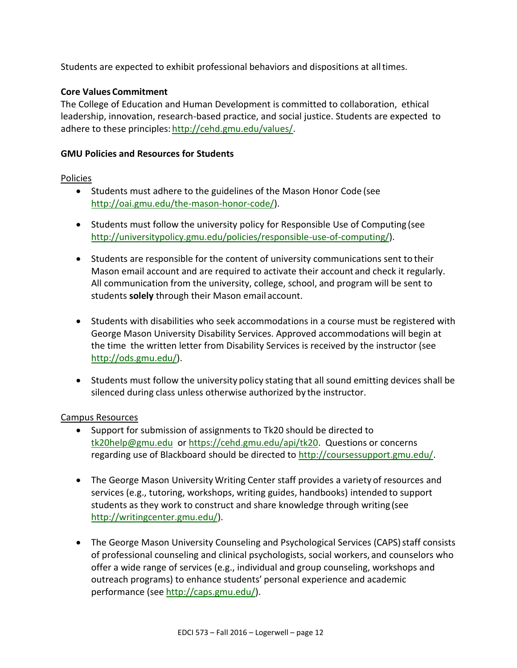Students are expected to exhibit professional behaviors and dispositions at alltimes.

#### **Core Values Commitment**

The College of Education and Human Development is committed to collaboration, ethical leadership, innovation, research-based practice, and social justice. Students are expected to adhere to these principles: [http://cehd.gmu.edu/values/.](http://cehd.gmu.edu/values/)

#### **GMU Policies and Resources for Students**

#### Policies

- Students must adhere to the guidelines of the Mason Honor Code (see [http://oai.gmu.edu/the-mason-honor-code/\)](http://oai.gmu.edu/the-mason-honor-code/).
- Students must follow the university policy for Responsible Use of Computing (see [http://universitypolicy.gmu.edu/policies/responsible-use-of-computing/\)](http://universitypolicy.gmu.edu/policies/responsible-use-of-computing/).
- Students are responsible for the content of university communications sent to their Mason email account and are required to activate their account and check it regularly. All communication from the university, college, school, and program will be sent to students **solely** through their Mason email account.
- Students with disabilities who seek accommodations in a course must be registered with George Mason University Disability Services. Approved accommodations will begin at the time the written letter from Disability Services is received by the instructor (see [http://ods.gmu.edu/\)](http://ods.gmu.edu/).
- Students must follow the university policy stating that all sound emitting devices shall be silenced during class unless otherwise authorized by the instructor.

#### Campus Resources

- Support for submission of assignments to Tk20 should be directed to [tk20help@gmu.edu](mailto:tk20help@gmu.edu) or [https://cehd.gmu.edu/api/tk20.](https://cehd.gmu.edu/api/tk20) Questions or concerns regarding use of Blackboard should be directed to [http://coursessupport.gmu.edu/.](http://coursessupport.gmu.edu/)
- The George Mason University Writing Center staff provides a variety of resources and services (e.g., tutoring, workshops, writing guides, handbooks) intended to support students as they work to construct and share knowledge through writing (see [http://writingcenter.gmu.edu/\)](http://writingcenter.gmu.edu/).
- The George Mason University Counseling and Psychological Services (CAPS) staff consists of professional counseling and clinical psychologists, social workers, and counselors who offer a wide range of services (e.g., individual and group counseling, workshops and outreach programs) to enhance students' personal experience and academic performance (see [http://caps.gmu.edu/\)](http://caps.gmu.edu/).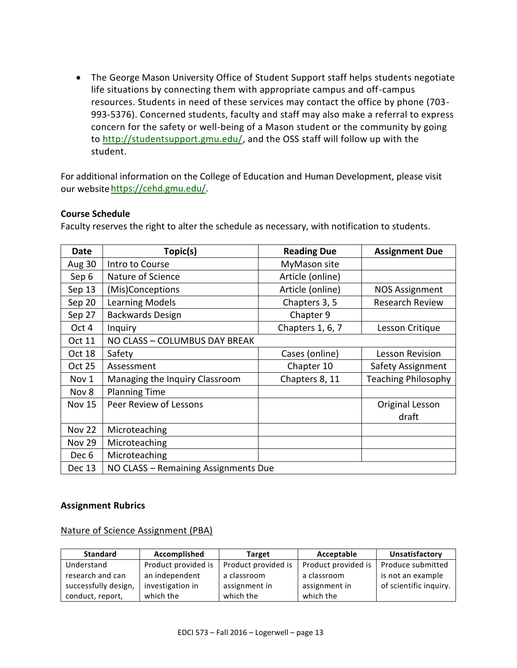The George Mason University Office of Student Support staff helps students negotiate life situations by connecting them with appropriate campus and off-campus resources. Students in need of these services may contact the office by phone (703- 993-5376). Concerned students, faculty and staff may also make a referral to express concern for the safety or well-being of a Mason student or the community by going to [http://studentsupport.gmu.edu/,](http://studentsupport.gmu.edu/) and the OSS staff will follow up with the student.

For additional information on the College of Education and Human Development, please visit our websitehttps://cehd.gmu.edu/.

#### **Course Schedule**

Faculty reserves the right to alter the schedule as necessary, with notification to students.

| Date          | Topic(s)                             | <b>Reading Due</b> | <b>Assignment Due</b>      |  |
|---------------|--------------------------------------|--------------------|----------------------------|--|
| Aug 30        | Intro to Course                      | MyMason site       |                            |  |
| Sep 6         | Nature of Science                    | Article (online)   |                            |  |
| Sep 13        | (Mis)Conceptions                     | Article (online)   | <b>NOS Assignment</b>      |  |
| Sep 20        | <b>Learning Models</b>               | Chapters 3, 5      | <b>Research Review</b>     |  |
| Sep 27        | <b>Backwards Design</b>              | Chapter 9          |                            |  |
| Oct 4         | Inquiry                              | Chapters 1, 6, 7   | Lesson Critique            |  |
| Oct 11        | NO CLASS - COLUMBUS DAY BREAK        |                    |                            |  |
| Oct 18        | Safety                               | Cases (online)     | <b>Lesson Revision</b>     |  |
| Oct 25        | Assessment                           | Chapter 10         | Safety Assignment          |  |
| Nov 1         | Managing the Inquiry Classroom       | Chapters 8, 11     | <b>Teaching Philosophy</b> |  |
| Nov 8         | <b>Planning Time</b>                 |                    |                            |  |
| <b>Nov 15</b> | Peer Review of Lessons               |                    | Original Lesson            |  |
|               |                                      |                    | draft                      |  |
| <b>Nov 22</b> | Microteaching                        |                    |                            |  |
| <b>Nov 29</b> | Microteaching                        |                    |                            |  |
| Dec 6         | Microteaching                        |                    |                            |  |
| Dec 13        | NO CLASS - Remaining Assignments Due |                    |                            |  |

#### **Assignment Rubrics**

Nature of Science Assignment (PBA)

| <b>Standard</b>      | Accomplished        | <b>Target</b>       | Acceptable          | Unsatisfactory         |
|----------------------|---------------------|---------------------|---------------------|------------------------|
| Understand           | Product provided is | Product provided is | Product provided is | Produce submitted      |
| research and can     | an independent      | a classroom         | a classroom         | is not an example      |
| successfully design, | investigation in    | assignment in       | assignment in       | of scientific inquiry. |
| conduct, report,     | which the           | which the           | which the           |                        |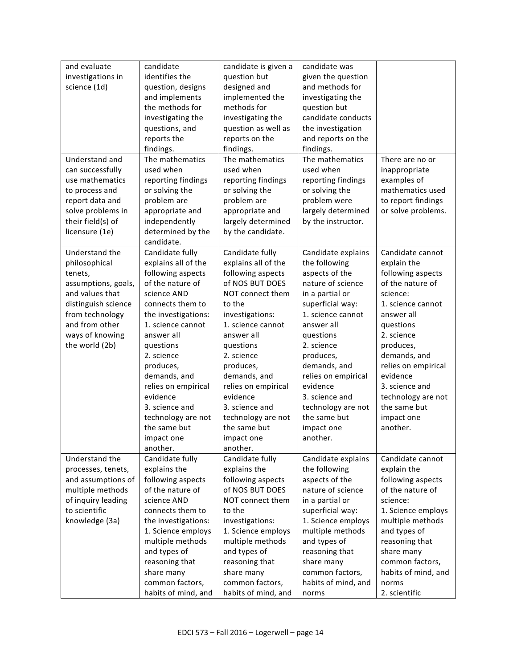| and evaluate<br>candidate<br>candidate is given a<br>candidate was<br>identifies the<br>investigations in<br>question but<br>given the question<br>designed and<br>and methods for<br>science (1d)<br>question, designs<br>and implements<br>implemented the<br>investigating the<br>the methods for<br>methods for<br>question but<br>candidate conducts<br>investigating the<br>investigating the<br>questions, and<br>question as well as<br>the investigation<br>reports the<br>reports on the<br>and reports on the<br>findings.<br>findings.<br>findings.<br>The mathematics<br>Understand and<br>The mathematics<br>The mathematics<br>There are no or<br>can successfully<br>used when<br>used when<br>used when<br>inappropriate<br>use mathematics<br>reporting findings<br>reporting findings<br>reporting findings<br>examples of<br>to process and<br>or solving the<br>or solving the<br>or solving the<br>mathematics used<br>to report findings<br>report data and<br>problem are<br>problem are<br>problem were<br>solve problems in<br>appropriate and<br>appropriate and<br>largely determined<br>or solve problems. |
|-----------------------------------------------------------------------------------------------------------------------------------------------------------------------------------------------------------------------------------------------------------------------------------------------------------------------------------------------------------------------------------------------------------------------------------------------------------------------------------------------------------------------------------------------------------------------------------------------------------------------------------------------------------------------------------------------------------------------------------------------------------------------------------------------------------------------------------------------------------------------------------------------------------------------------------------------------------------------------------------------------------------------------------------------------------------------------------------------------------------------------------------|
|                                                                                                                                                                                                                                                                                                                                                                                                                                                                                                                                                                                                                                                                                                                                                                                                                                                                                                                                                                                                                                                                                                                                         |
|                                                                                                                                                                                                                                                                                                                                                                                                                                                                                                                                                                                                                                                                                                                                                                                                                                                                                                                                                                                                                                                                                                                                         |
|                                                                                                                                                                                                                                                                                                                                                                                                                                                                                                                                                                                                                                                                                                                                                                                                                                                                                                                                                                                                                                                                                                                                         |
|                                                                                                                                                                                                                                                                                                                                                                                                                                                                                                                                                                                                                                                                                                                                                                                                                                                                                                                                                                                                                                                                                                                                         |
|                                                                                                                                                                                                                                                                                                                                                                                                                                                                                                                                                                                                                                                                                                                                                                                                                                                                                                                                                                                                                                                                                                                                         |
|                                                                                                                                                                                                                                                                                                                                                                                                                                                                                                                                                                                                                                                                                                                                                                                                                                                                                                                                                                                                                                                                                                                                         |
|                                                                                                                                                                                                                                                                                                                                                                                                                                                                                                                                                                                                                                                                                                                                                                                                                                                                                                                                                                                                                                                                                                                                         |
|                                                                                                                                                                                                                                                                                                                                                                                                                                                                                                                                                                                                                                                                                                                                                                                                                                                                                                                                                                                                                                                                                                                                         |
|                                                                                                                                                                                                                                                                                                                                                                                                                                                                                                                                                                                                                                                                                                                                                                                                                                                                                                                                                                                                                                                                                                                                         |
|                                                                                                                                                                                                                                                                                                                                                                                                                                                                                                                                                                                                                                                                                                                                                                                                                                                                                                                                                                                                                                                                                                                                         |
|                                                                                                                                                                                                                                                                                                                                                                                                                                                                                                                                                                                                                                                                                                                                                                                                                                                                                                                                                                                                                                                                                                                                         |
|                                                                                                                                                                                                                                                                                                                                                                                                                                                                                                                                                                                                                                                                                                                                                                                                                                                                                                                                                                                                                                                                                                                                         |
|                                                                                                                                                                                                                                                                                                                                                                                                                                                                                                                                                                                                                                                                                                                                                                                                                                                                                                                                                                                                                                                                                                                                         |
|                                                                                                                                                                                                                                                                                                                                                                                                                                                                                                                                                                                                                                                                                                                                                                                                                                                                                                                                                                                                                                                                                                                                         |
|                                                                                                                                                                                                                                                                                                                                                                                                                                                                                                                                                                                                                                                                                                                                                                                                                                                                                                                                                                                                                                                                                                                                         |
| their field(s) of<br>independently<br>largely determined<br>by the instructor.                                                                                                                                                                                                                                                                                                                                                                                                                                                                                                                                                                                                                                                                                                                                                                                                                                                                                                                                                                                                                                                          |
| licensure (1e)<br>determined by the<br>by the candidate.                                                                                                                                                                                                                                                                                                                                                                                                                                                                                                                                                                                                                                                                                                                                                                                                                                                                                                                                                                                                                                                                                |
| candidate.                                                                                                                                                                                                                                                                                                                                                                                                                                                                                                                                                                                                                                                                                                                                                                                                                                                                                                                                                                                                                                                                                                                              |
| Understand the<br>Candidate fully<br>Candidate fully<br>Candidate explains<br>Candidate cannot                                                                                                                                                                                                                                                                                                                                                                                                                                                                                                                                                                                                                                                                                                                                                                                                                                                                                                                                                                                                                                          |
| explains all of the<br>explains all of the<br>the following<br>explain the<br>philosophical                                                                                                                                                                                                                                                                                                                                                                                                                                                                                                                                                                                                                                                                                                                                                                                                                                                                                                                                                                                                                                             |
| following aspects<br>following aspects<br>aspects of the<br>following aspects<br>tenets,                                                                                                                                                                                                                                                                                                                                                                                                                                                                                                                                                                                                                                                                                                                                                                                                                                                                                                                                                                                                                                                |
| of the nature of<br>of NOS BUT DOES<br>nature of science<br>of the nature of<br>assumptions, goals,                                                                                                                                                                                                                                                                                                                                                                                                                                                                                                                                                                                                                                                                                                                                                                                                                                                                                                                                                                                                                                     |
| and values that<br>science AND<br>NOT connect them<br>in a partial or<br>science:                                                                                                                                                                                                                                                                                                                                                                                                                                                                                                                                                                                                                                                                                                                                                                                                                                                                                                                                                                                                                                                       |
| distinguish science<br>connects them to<br>to the<br>superficial way:<br>1. science cannot                                                                                                                                                                                                                                                                                                                                                                                                                                                                                                                                                                                                                                                                                                                                                                                                                                                                                                                                                                                                                                              |
| from technology<br>the investigations:<br>investigations:<br>1. science cannot<br>answer all                                                                                                                                                                                                                                                                                                                                                                                                                                                                                                                                                                                                                                                                                                                                                                                                                                                                                                                                                                                                                                            |
| and from other<br>1. science cannot<br>1. science cannot<br>answer all<br>questions                                                                                                                                                                                                                                                                                                                                                                                                                                                                                                                                                                                                                                                                                                                                                                                                                                                                                                                                                                                                                                                     |
| ways of knowing<br>answer all<br>answer all<br>2. science                                                                                                                                                                                                                                                                                                                                                                                                                                                                                                                                                                                                                                                                                                                                                                                                                                                                                                                                                                                                                                                                               |
| questions                                                                                                                                                                                                                                                                                                                                                                                                                                                                                                                                                                                                                                                                                                                                                                                                                                                                                                                                                                                                                                                                                                                               |
| the world (2b)<br>questions<br>2. science<br>questions<br>produces,                                                                                                                                                                                                                                                                                                                                                                                                                                                                                                                                                                                                                                                                                                                                                                                                                                                                                                                                                                                                                                                                     |
| demands, and<br>2. science<br>2. science<br>produces,                                                                                                                                                                                                                                                                                                                                                                                                                                                                                                                                                                                                                                                                                                                                                                                                                                                                                                                                                                                                                                                                                   |
| demands, and<br>relies on empirical<br>produces,<br>produces,                                                                                                                                                                                                                                                                                                                                                                                                                                                                                                                                                                                                                                                                                                                                                                                                                                                                                                                                                                                                                                                                           |
| demands, and<br>demands, and<br>relies on empirical<br>evidence                                                                                                                                                                                                                                                                                                                                                                                                                                                                                                                                                                                                                                                                                                                                                                                                                                                                                                                                                                                                                                                                         |
| 3. science and<br>relies on empirical<br>relies on empirical<br>evidence                                                                                                                                                                                                                                                                                                                                                                                                                                                                                                                                                                                                                                                                                                                                                                                                                                                                                                                                                                                                                                                                |
| evidence<br>evidence<br>3. science and<br>technology are not                                                                                                                                                                                                                                                                                                                                                                                                                                                                                                                                                                                                                                                                                                                                                                                                                                                                                                                                                                                                                                                                            |
| 3. science and<br>3. science and<br>technology are not<br>the same but                                                                                                                                                                                                                                                                                                                                                                                                                                                                                                                                                                                                                                                                                                                                                                                                                                                                                                                                                                                                                                                                  |
| technology are not<br>the same but<br>technology are not<br>impact one                                                                                                                                                                                                                                                                                                                                                                                                                                                                                                                                                                                                                                                                                                                                                                                                                                                                                                                                                                                                                                                                  |
| the same but<br>the same but<br>another.<br>impact one                                                                                                                                                                                                                                                                                                                                                                                                                                                                                                                                                                                                                                                                                                                                                                                                                                                                                                                                                                                                                                                                                  |
| another.<br>impact one<br>impact one                                                                                                                                                                                                                                                                                                                                                                                                                                                                                                                                                                                                                                                                                                                                                                                                                                                                                                                                                                                                                                                                                                    |
| another.<br>another.                                                                                                                                                                                                                                                                                                                                                                                                                                                                                                                                                                                                                                                                                                                                                                                                                                                                                                                                                                                                                                                                                                                    |
| Candidate cannot<br>Understand the<br>Candidate fully<br>Candidate fully<br>Candidate explains                                                                                                                                                                                                                                                                                                                                                                                                                                                                                                                                                                                                                                                                                                                                                                                                                                                                                                                                                                                                                                          |
| explains the<br>explains the<br>explain the<br>processes, tenets,<br>the following                                                                                                                                                                                                                                                                                                                                                                                                                                                                                                                                                                                                                                                                                                                                                                                                                                                                                                                                                                                                                                                      |
| and assumptions of<br>following aspects<br>following aspects<br>aspects of the<br>following aspects                                                                                                                                                                                                                                                                                                                                                                                                                                                                                                                                                                                                                                                                                                                                                                                                                                                                                                                                                                                                                                     |
| of the nature of<br>of NOS BUT DOES<br>of the nature of<br>multiple methods<br>nature of science                                                                                                                                                                                                                                                                                                                                                                                                                                                                                                                                                                                                                                                                                                                                                                                                                                                                                                                                                                                                                                        |
| of inquiry leading<br>science AND<br>NOT connect them<br>in a partial or<br>science:                                                                                                                                                                                                                                                                                                                                                                                                                                                                                                                                                                                                                                                                                                                                                                                                                                                                                                                                                                                                                                                    |
| to scientific<br>connects them to<br>to the<br>superficial way:<br>1. Science employs                                                                                                                                                                                                                                                                                                                                                                                                                                                                                                                                                                                                                                                                                                                                                                                                                                                                                                                                                                                                                                                   |
| knowledge (3a)<br>the investigations:<br>1. Science employs<br>multiple methods<br>investigations:                                                                                                                                                                                                                                                                                                                                                                                                                                                                                                                                                                                                                                                                                                                                                                                                                                                                                                                                                                                                                                      |
| 1. Science employs<br>1. Science employs<br>multiple methods<br>and types of                                                                                                                                                                                                                                                                                                                                                                                                                                                                                                                                                                                                                                                                                                                                                                                                                                                                                                                                                                                                                                                            |
| multiple methods<br>multiple methods<br>and types of<br>reasoning that                                                                                                                                                                                                                                                                                                                                                                                                                                                                                                                                                                                                                                                                                                                                                                                                                                                                                                                                                                                                                                                                  |
| and types of<br>and types of<br>reasoning that<br>share many                                                                                                                                                                                                                                                                                                                                                                                                                                                                                                                                                                                                                                                                                                                                                                                                                                                                                                                                                                                                                                                                            |
| reasoning that<br>common factors,<br>reasoning that<br>share many                                                                                                                                                                                                                                                                                                                                                                                                                                                                                                                                                                                                                                                                                                                                                                                                                                                                                                                                                                                                                                                                       |
| share many<br>share many<br>common factors,<br>habits of mind, and                                                                                                                                                                                                                                                                                                                                                                                                                                                                                                                                                                                                                                                                                                                                                                                                                                                                                                                                                                                                                                                                      |
| common factors,<br>common factors,<br>habits of mind, and<br>norms                                                                                                                                                                                                                                                                                                                                                                                                                                                                                                                                                                                                                                                                                                                                                                                                                                                                                                                                                                                                                                                                      |
| habits of mind, and<br>habits of mind, and<br>2. scientific<br>norms                                                                                                                                                                                                                                                                                                                                                                                                                                                                                                                                                                                                                                                                                                                                                                                                                                                                                                                                                                                                                                                                    |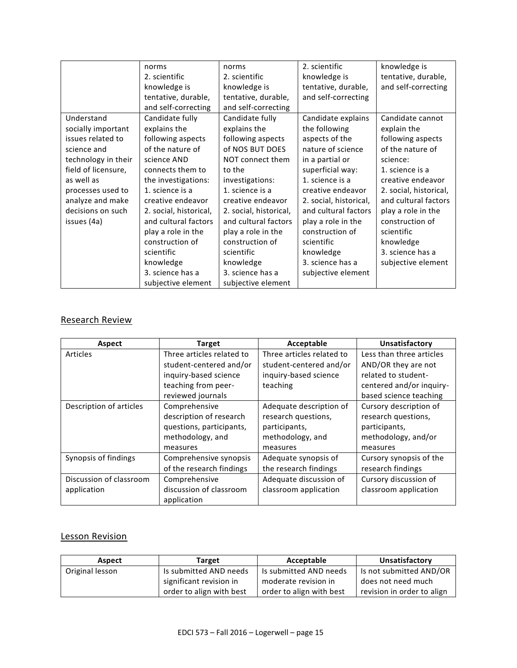|                     | norms                  | norms                  | 2. scientific          | knowledge is           |
|---------------------|------------------------|------------------------|------------------------|------------------------|
|                     | 2. scientific          | 2. scientific          | knowledge is           | tentative, durable,    |
|                     | knowledge is           | knowledge is           | tentative, durable,    | and self-correcting    |
|                     | tentative, durable,    | tentative, durable,    | and self-correcting    |                        |
|                     | and self-correcting    | and self-correcting    |                        |                        |
| Understand          | Candidate fully        | Candidate fully        | Candidate explains     | Candidate cannot       |
| socially important  | explains the           | explains the           | the following          | explain the            |
| issues related to   | following aspects      | following aspects      | aspects of the         | following aspects      |
| science and         | of the nature of       | of NOS BUT DOES        | nature of science      | of the nature of       |
| technology in their | science AND            | NOT connect them       | in a partial or        | science:               |
| field of licensure, | connects them to       | to the                 | superficial way:       | 1. science is a        |
| as well as          | the investigations:    | investigations:        | 1. science is a        | creative endeavor      |
| processes used to   | 1. science is a        | 1. science is a        | creative endeavor      | 2. social, historical, |
| analyze and make    | creative endeavor      | creative endeavor      | 2. social, historical, | and cultural factors   |
| decisions on such   | 2. social, historical, | 2. social, historical, | and cultural factors   | play a role in the     |
| issues (4a)         | and cultural factors   | and cultural factors   | play a role in the     | construction of        |
|                     | play a role in the     | play a role in the     | construction of        | scientific             |
|                     | construction of        | construction of        | scientific             | knowledge              |
|                     | scientific             | scientific             | knowledge              | 3. science has a       |
|                     | knowledge              | knowledge              | 3. science has a       | subjective element     |
|                     | 3. science has a       | 3. science has a       | subjective element     |                        |
|                     | subjective element     | subjective element     |                        |                        |

## Research Review

| Aspect                  | <b>Target</b>             | Acceptable                | Unsatisfactory           |
|-------------------------|---------------------------|---------------------------|--------------------------|
| Articles                | Three articles related to | Three articles related to | Less than three articles |
|                         | student-centered and/or   | student-centered and/or   | AND/OR they are not      |
|                         | inquiry-based science     | inquiry-based science     | related to student-      |
|                         | teaching from peer-       | teaching                  | centered and/or inquiry- |
|                         | reviewed journals         |                           | based science teaching   |
| Description of articles | Comprehensive             | Adequate description of   | Cursory description of   |
|                         | description of research   | research questions,       | research questions,      |
|                         | questions, participants,  | participants,             | participants,            |
|                         | methodology, and          | methodology, and          | methodology, and/or      |
|                         | measures                  | measures                  | measures                 |
| Synopsis of findings    | Comprehensive synopsis    | Adequate synopsis of      | Cursory synopsis of the  |
|                         | of the research findings  | the research findings     | research findings        |
| Discussion of classroom | Comprehensive             | Adequate discussion of    | Cursory discussion of    |
| application             | discussion of classroom   | classroom application     | classroom application    |
|                         | application               |                           |                          |

## Lesson Revision

| Aspect          | Target                   | Acceptable               | Unsatisfactory             |
|-----------------|--------------------------|--------------------------|----------------------------|
| Original lesson | Is submitted AND needs   | Is submitted AND needs   | Is not submitted AND/OR    |
|                 | significant revision in  | moderate revision in     | does not need much         |
|                 | order to align with best | order to align with best | revision in order to align |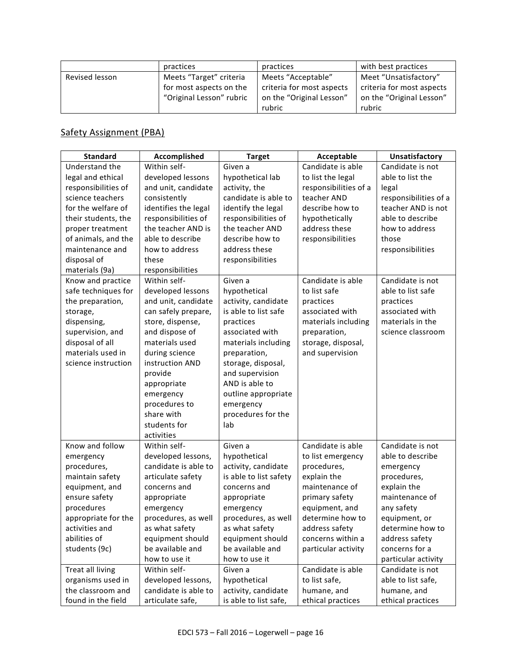|                | practices                | practices                 | with best practices       |
|----------------|--------------------------|---------------------------|---------------------------|
| Revised lesson | Meets "Target" criteria  | Meets "Acceptable"        | Meet "Unsatisfactory"     |
|                | for most aspects on the  | criteria for most aspects | criteria for most aspects |
|                | "Original Lesson" rubric | on the "Original Lesson"  | on the "Original Lesson"  |
|                |                          | rubric                    | rubric                    |

## Safety Assignment (PBA)

| <b>Standard</b>     | Accomplished         | <b>Target</b>          | Acceptable            | Unsatisfactory        |
|---------------------|----------------------|------------------------|-----------------------|-----------------------|
| Understand the      | Within self-         | Given a                | Candidate is able     | Candidate is not      |
| legal and ethical   | developed lessons    | hypothetical lab       | to list the legal     | able to list the      |
| responsibilities of | and unit, candidate  | activity, the          | responsibilities of a | legal                 |
| science teachers    | consistently         | candidate is able to   | teacher AND           | responsibilities of a |
| for the welfare of  | identifies the legal | identify the legal     | describe how to       | teacher AND is not    |
| their students, the | responsibilities of  | responsibilities of    | hypothetically        | able to describe      |
| proper treatment    | the teacher AND is   | the teacher AND        | address these         | how to address        |
| of animals, and the | able to describe     | describe how to        | responsibilities      | those                 |
| maintenance and     | how to address       | address these          |                       | responsibilities      |
| disposal of         | these                | responsibilities       |                       |                       |
| materials (9a)      | responsibilities     |                        |                       |                       |
| Know and practice   | Within self-         | Given a                | Candidate is able     | Candidate is not      |
| safe techniques for | developed lessons    | hypothetical           | to list safe          | able to list safe     |
| the preparation,    | and unit, candidate  | activity, candidate    | practices             | practices             |
| storage,            | can safely prepare,  | is able to list safe   | associated with       | associated with       |
| dispensing,         | store, dispense,     | practices              | materials including   | materials in the      |
| supervision, and    | and dispose of       | associated with        | preparation,          | science classroom     |
| disposal of all     | materials used       | materials including    | storage, disposal,    |                       |
| materials used in   | during science       | preparation,           | and supervision       |                       |
| science instruction | instruction AND      | storage, disposal,     |                       |                       |
|                     | provide              | and supervision        |                       |                       |
|                     | appropriate          | AND is able to         |                       |                       |
|                     | emergency            | outline appropriate    |                       |                       |
|                     | procedures to        | emergency              |                       |                       |
|                     | share with           | procedures for the     |                       |                       |
|                     | students for         | lab                    |                       |                       |
|                     | activities           |                        |                       |                       |
| Know and follow     | Within self-         | Given a                | Candidate is able     | Candidate is not      |
| emergency           | developed lessons,   | hypothetical           | to list emergency     | able to describe      |
| procedures,         | candidate is able to | activity, candidate    | procedures,           | emergency             |
| maintain safety     | articulate safety    | is able to list safety | explain the           | procedures,           |
| equipment, and      | concerns and         | concerns and           | maintenance of        | explain the           |
| ensure safety       | appropriate          | appropriate            | primary safety        | maintenance of        |
| procedures          | emergency            | emergency              | equipment, and        | any safety            |
| appropriate for the | procedures, as well  | procedures, as well    | determine how to      | equipment, or         |
| activities and      | as what safety       | as what safety         | address safety        | determine how to      |
| abilities of        | equipment should     | equipment should       | concerns within a     | address safety        |
| students (9c)       | be available and     | be available and       | particular activity   | concerns for a        |
|                     | how to use it        | how to use it          |                       | particular activity   |
| Treat all living    | Within self-         | Given a                | Candidate is able     | Candidate is not      |
| organisms used in   | developed lessons,   | hypothetical           | to list safe,         | able to list safe,    |
| the classroom and   | candidate is able to | activity, candidate    | humane, and           | humane, and           |
| found in the field  | articulate safe,     | is able to list safe,  | ethical practices     | ethical practices     |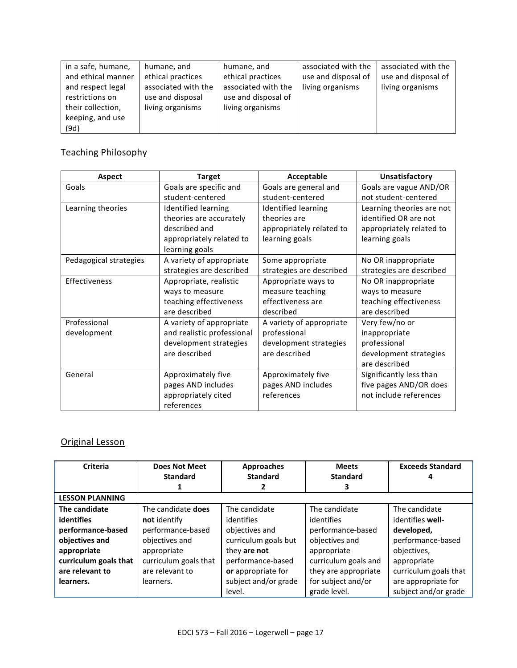| in a safe, humane, | humane, and         | humane, and         | associated with the | associated with the |
|--------------------|---------------------|---------------------|---------------------|---------------------|
| and ethical manner | ethical practices   | ethical practices   | use and disposal of | use and disposal of |
| and respect legal  | associated with the | associated with the | living organisms    | living organisms    |
| restrictions on    | use and disposal    | use and disposal of |                     |                     |
| their collection,  | living organisms    | living organisms    |                     |                     |
| keeping, and use   |                     |                     |                     |                     |
| (9d)               |                     |                     |                     |                     |

## Teaching Philosophy

| <b>Aspect</b>          | <b>Target</b>              | Acceptable               | Unsatisfactory            |
|------------------------|----------------------------|--------------------------|---------------------------|
| Goals                  | Goals are specific and     | Goals are general and    | Goals are vague AND/OR    |
|                        | student-centered           | student-centered         | not student-centered      |
| Learning theories      | Identified learning        | Identified learning      | Learning theories are not |
|                        | theories are accurately    | theories are             | identified OR are not     |
|                        | described and              | appropriately related to | appropriately related to  |
|                        | appropriately related to   | learning goals           | learning goals            |
|                        | learning goals             |                          |                           |
| Pedagogical strategies | A variety of appropriate   | Some appropriate         | No OR inappropriate       |
|                        | strategies are described   | strategies are described | strategies are described  |
| <b>Effectiveness</b>   | Appropriate, realistic     | Appropriate ways to      | No OR inappropriate       |
|                        | ways to measure            | measure teaching         | ways to measure           |
|                        | teaching effectiveness     | effectiveness are        | teaching effectiveness    |
|                        | are described              | described                | are described             |
| Professional           | A variety of appropriate   | A variety of appropriate | Very few/no or            |
| development            | and realistic professional | professional             | inappropriate             |
|                        | development strategies     | development strategies   | professional              |
|                        | are described              | are described            | development strategies    |
|                        |                            |                          | are described             |
| General                | Approximately five         | Approximately five       | Significantly less than   |
|                        | pages AND includes         | pages AND includes       | five pages AND/OR does    |
|                        | appropriately cited        | references               | not include references    |
|                        | references                 |                          |                           |

# Original Lesson

| <b>Criteria</b>        | <b>Does Not Meet</b>  | Approaches           | <b>Meets</b>         | <b>Exceeds Standard</b> |
|------------------------|-----------------------|----------------------|----------------------|-------------------------|
|                        | <b>Standard</b>       | <b>Standard</b>      | <b>Standard</b>      |                         |
|                        |                       |                      | 3                    |                         |
| <b>LESSON PLANNING</b> |                       |                      |                      |                         |
| The candidate          | The candidate does    | The candidate        | The candidate        | The candidate           |
| <b>identifies</b>      | not identify          | identifies           | identifies           | identifies well-        |
| performance-based      | performance-based     | objectives and       | performance-based    | developed,              |
| objectives and         | objectives and        | curriculum goals but | objectives and       | performance-based       |
| appropriate            | appropriate           | they are not         | appropriate          | objectives,             |
| curriculum goals that  | curriculum goals that | performance-based    | curriculum goals and | appropriate             |
| are relevant to        | are relevant to       | or appropriate for   | they are appropriate | curriculum goals that   |
| learners.              | learners.             | subject and/or grade | for subject and/or   | are appropriate for     |
|                        |                       | level.               | grade level.         | subject and/or grade    |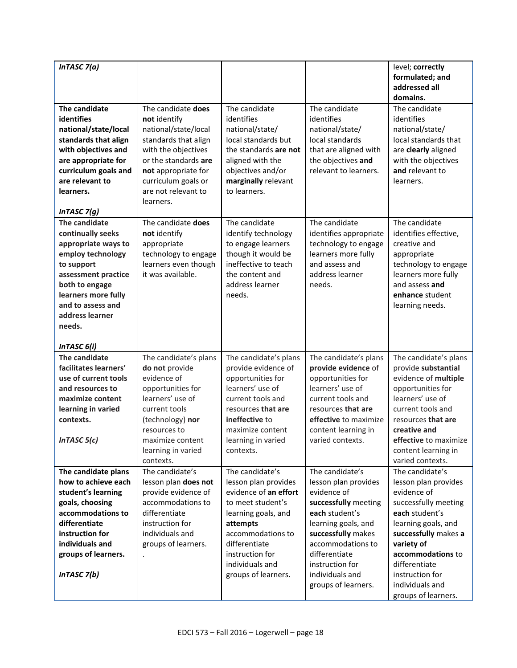| InTASC $7(a)$                                                                                                                                                                                                  |                                                                                                                                                                                                                     |                                                                                                                                                                                                           |                                                                                                                                                                                                                               | level; correctly                                                                                                                                                                                                                              |
|----------------------------------------------------------------------------------------------------------------------------------------------------------------------------------------------------------------|---------------------------------------------------------------------------------------------------------------------------------------------------------------------------------------------------------------------|-----------------------------------------------------------------------------------------------------------------------------------------------------------------------------------------------------------|-------------------------------------------------------------------------------------------------------------------------------------------------------------------------------------------------------------------------------|-----------------------------------------------------------------------------------------------------------------------------------------------------------------------------------------------------------------------------------------------|
|                                                                                                                                                                                                                |                                                                                                                                                                                                                     |                                                                                                                                                                                                           |                                                                                                                                                                                                                               | formulated; and<br>addressed all                                                                                                                                                                                                              |
|                                                                                                                                                                                                                |                                                                                                                                                                                                                     |                                                                                                                                                                                                           |                                                                                                                                                                                                                               | domains.                                                                                                                                                                                                                                      |
| The candidate<br><b>identifies</b><br>national/state/local<br>standards that align<br>with objectives and<br>are appropriate for<br>curriculum goals and<br>are relevant to<br>learners.<br>InTASC $7(g)$      | The candidate does<br>not identify<br>national/state/local<br>standards that align<br>with the objectives<br>or the standards are<br>not appropriate for<br>curriculum goals or<br>are not relevant to<br>learners. | The candidate<br>identifies<br>national/state/<br>local standards but<br>the standards are not<br>aligned with the<br>objectives and/or<br>marginally relevant<br>to learners.                            | The candidate<br>identifies<br>national/state/<br>local standards<br>that are aligned with<br>the objectives and<br>relevant to learners.                                                                                     | The candidate<br>identifies<br>national/state/<br>local standards that<br>are clearly aligned<br>with the objectives<br>and relevant to<br>learners.                                                                                          |
| The candidate<br>continually seeks<br>appropriate ways to<br>employ technology<br>to support<br>assessment practice<br>both to engage<br>learners more fully<br>and to assess and<br>address learner<br>needs. | The candidate does<br>not identify<br>appropriate<br>technology to engage<br>learners even though<br>it was available.                                                                                              | The candidate<br>identify technology<br>to engage learners<br>though it would be<br>ineffective to teach<br>the content and<br>address learner<br>needs.                                                  | The candidate<br>identifies appropriate<br>technology to engage<br>learners more fully<br>and assess and<br>address learner<br>needs.                                                                                         | The candidate<br>identifies effective,<br>creative and<br>appropriate<br>technology to engage<br>learners more fully<br>and assess and<br>enhance student<br>learning needs.                                                                  |
| InTASC 6(i)                                                                                                                                                                                                    |                                                                                                                                                                                                                     |                                                                                                                                                                                                           |                                                                                                                                                                                                                               |                                                                                                                                                                                                                                               |
| The candidate<br>facilitates learners'<br>use of current tools<br>and resources to<br>maximize content<br>learning in varied<br>contexts.<br>In TASC $5(c)$                                                    | The candidate's plans<br>do not provide<br>evidence of<br>opportunities for<br>learners' use of<br>current tools<br>(technology) nor<br>resources to<br>maximize content<br>learning in varied<br>contexts.         | The candidate's plans<br>provide evidence of<br>opportunities for<br>learners' use of<br>current tools and<br>resources that are<br>ineffective to<br>maximize content<br>learning in varied<br>contexts. | The candidate's plans<br>provide evidence of<br>opportunities for<br>learners' use of<br>current tools and<br>resources that are<br>effective to maximize<br>content learning in<br>varied contexts.                          | The candidate's plans<br>provide substantial<br>evidence of multiple<br>opportunities for<br>learners' use of<br>current tools and<br>resources that are<br>creative and<br>effective to maximize<br>content learning in<br>varied contexts.  |
| The candidate plans                                                                                                                                                                                            | The candidate's                                                                                                                                                                                                     | The candidate's                                                                                                                                                                                           | The candidate's                                                                                                                                                                                                               | The candidate's                                                                                                                                                                                                                               |
| how to achieve each<br>student's learning<br>goals, choosing<br>accommodations to<br>differentiate<br>instruction for<br>individuals and<br>groups of learners.<br>InTASC $7(b)$                               | lesson plan does not<br>provide evidence of<br>accommodations to<br>differentiate<br>instruction for<br>individuals and<br>groups of learners.                                                                      | lesson plan provides<br>evidence of an effort<br>to meet student's<br>learning goals, and<br>attempts<br>accommodations to<br>differentiate<br>instruction for<br>individuals and<br>groups of learners.  | lesson plan provides<br>evidence of<br>successfully meeting<br>each student's<br>learning goals, and<br>successfully makes<br>accommodations to<br>differentiate<br>instruction for<br>individuals and<br>groups of learners. | lesson plan provides<br>evidence of<br>successfully meeting<br>each student's<br>learning goals, and<br>successfully makes a<br>variety of<br>accommodations to<br>differentiate<br>instruction for<br>individuals and<br>groups of learners. |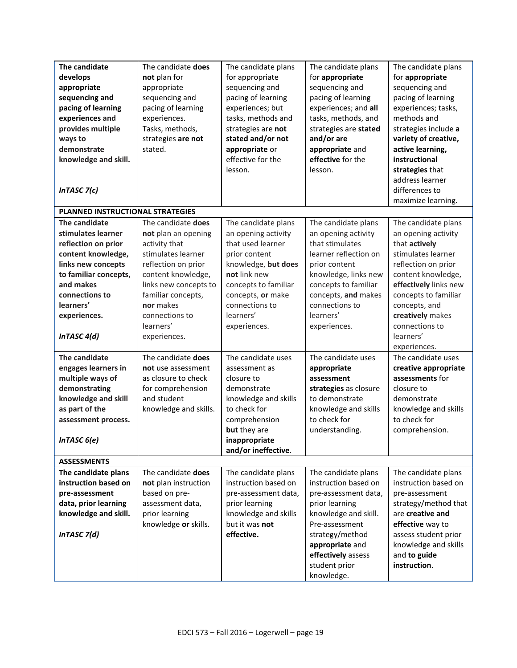| The candidate                    | The candidate does    | The candidate plans  | The candidate plans   | The candidate plans   |
|----------------------------------|-----------------------|----------------------|-----------------------|-----------------------|
| develops                         | not plan for          | for appropriate      | for appropriate       | for appropriate       |
| appropriate                      | appropriate           | sequencing and       | sequencing and        | sequencing and        |
| sequencing and                   | sequencing and        | pacing of learning   | pacing of learning    | pacing of learning    |
| pacing of learning               | pacing of learning    | experiences; but     | experiences; and all  | experiences; tasks,   |
| experiences and                  | experiences.          | tasks, methods and   | tasks, methods, and   | methods and           |
| provides multiple                | Tasks, methods,       | strategies are not   | strategies are stated | strategies include a  |
| ways to                          | strategies are not    | stated and/or not    | and/or are            | variety of creative,  |
| demonstrate                      | stated.               | appropriate or       | appropriate and       | active learning,      |
| knowledge and skill.             |                       | effective for the    | effective for the     | instructional         |
|                                  |                       | lesson.              | lesson.               | strategies that       |
|                                  |                       |                      |                       | address learner       |
| In TASC $7(c)$                   |                       |                      |                       | differences to        |
|                                  |                       |                      |                       | maximize learning.    |
|                                  |                       |                      |                       |                       |
| PLANNED INSTRUCTIONAL STRATEGIES |                       |                      |                       |                       |
| The candidate                    | The candidate does    | The candidate plans  | The candidate plans   | The candidate plans   |
| stimulates learner               | not plan an opening   | an opening activity  | an opening activity   | an opening activity   |
| reflection on prior              | activity that         | that used learner    | that stimulates       | that actively         |
| content knowledge,               | stimulates learner    | prior content        | learner reflection on | stimulates learner    |
| links new concepts               | reflection on prior   | knowledge, but does  | prior content         | reflection on prior   |
| to familiar concepts,            | content knowledge,    | not link new         | knowledge, links new  | content knowledge,    |
| and makes                        | links new concepts to | concepts to familiar | concepts to familiar  | effectively links new |
| connections to                   | familiar concepts,    | concepts, or make    | concepts, and makes   | concepts to familiar  |
| learners'                        | nor makes             | connections to       | connections to        | concepts, and         |
| experiences.                     | connections to        | learners'            | learners'             | creatively makes      |
|                                  | learners'             | experiences.         | experiences.          | connections to        |
| InTASC 4(d)                      | experiences.          |                      |                       | learners'             |
|                                  |                       |                      |                       | experiences.          |
| The candidate                    | The candidate does    | The candidate uses   | The candidate uses    | The candidate uses    |
| engages learners in              | not use assessment    | assessment as        | appropriate           | creative appropriate  |
| multiple ways of                 | as closure to check   | closure to           | assessment            | assessments for       |
| demonstrating                    | for comprehension     | demonstrate          | strategies as closure | closure to            |
| knowledge and skill              | and student           | knowledge and skills | to demonstrate        | demonstrate           |
| as part of the                   | knowledge and skills. | to check for         | knowledge and skills  | knowledge and skills  |
| assessment process.              |                       | comprehension        | to check for          | to check for          |
|                                  |                       | but they are         | understanding.        | comprehension.        |
| InTASC 6(e)                      |                       | inappropriate        |                       |                       |
|                                  |                       | and/or ineffective.  |                       |                       |
| <b>ASSESSMENTS</b>               |                       |                      |                       |                       |
| The candidate plans              | The candidate does    | The candidate plans  | The candidate plans   | The candidate plans   |
| instruction based on             | not plan instruction  | instruction based on | instruction based on  | instruction based on  |
| pre-assessment                   | based on pre-         | pre-assessment data, | pre-assessment data,  | pre-assessment        |
| data, prior learning             | assessment data,      | prior learning       | prior learning        | strategy/method that  |
| knowledge and skill.             | prior learning        | knowledge and skills | knowledge and skill.  | are creative and      |
|                                  | knowledge or skills.  | but it was not       | Pre-assessment        | effective way to      |
| InTASC 7(d)                      |                       | effective.           | strategy/method       | assess student prior  |
|                                  |                       |                      | appropriate and       | knowledge and skills  |
|                                  |                       |                      | effectively assess    | and to guide          |
|                                  |                       |                      | student prior         | instruction.          |
|                                  |                       |                      | knowledge.            |                       |
|                                  |                       |                      |                       |                       |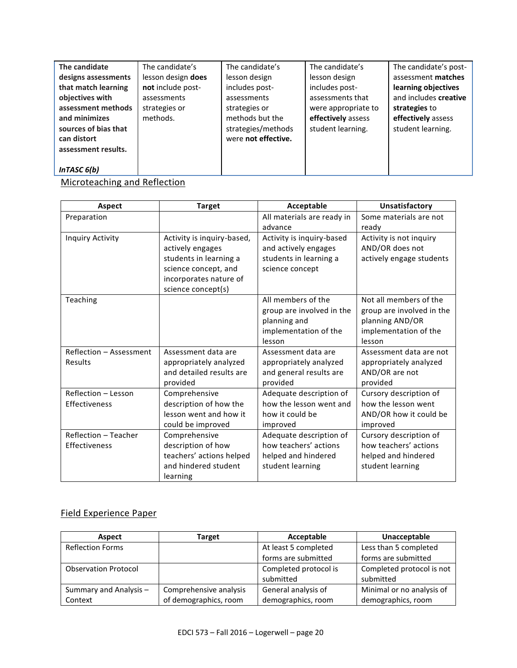| The candidate        | The candidate's    | The candidate's     | The candidate's     | The candidate's post- |
|----------------------|--------------------|---------------------|---------------------|-----------------------|
| designs assessments  | lesson design does | lesson design       | lesson design       | assessment matches    |
| that match learning  | not include post-  | includes post-      | includes post-      | learning objectives   |
| objectives with      | assessments        | assessments         | assessments that    | and includes creative |
| assessment methods   | strategies or      | strategies or       | were appropriate to | strategies to         |
| and minimizes        | methods.           | methods but the     | effectively assess  | effectively assess    |
| sources of bias that |                    | strategies/methods  | student learning.   | student learning.     |
| can distort          |                    | were not effective. |                     |                       |
| assessment results.  |                    |                     |                     |                       |
|                      |                    |                     |                     |                       |
| In TASC $6(b)$       |                    |                     |                     |                       |

Microteaching and Reflection

| Aspect                  | <b>Target</b>              | Acceptable                 | Unsatisfactory            |
|-------------------------|----------------------------|----------------------------|---------------------------|
| Preparation             |                            | All materials are ready in | Some materials are not    |
|                         |                            | advance                    | ready                     |
| Inquiry Activity        | Activity is inquiry-based, | Activity is inquiry-based  | Activity is not inquiry   |
|                         | actively engages           | and actively engages       | AND/OR does not           |
|                         | students in learning a     | students in learning a     | actively engage students  |
|                         | science concept, and       | science concept            |                           |
|                         | incorporates nature of     |                            |                           |
|                         | science concept(s)         |                            |                           |
| Teaching                |                            | All members of the         | Not all members of the    |
|                         |                            | group are involved in the  | group are involved in the |
|                         |                            | planning and               | planning AND/OR           |
|                         |                            | implementation of the      | implementation of the     |
|                         |                            | lesson                     | lesson                    |
| Reflection - Assessment | Assessment data are        | Assessment data are        | Assessment data are not   |
| Results                 | appropriately analyzed     | appropriately analyzed     | appropriately analyzed    |
|                         | and detailed results are   | and general results are    | AND/OR are not            |
|                         | provided                   | provided                   | provided                  |
| Reflection - Lesson     | Comprehensive              | Adequate description of    | Cursory description of    |
| Effectiveness           | description of how the     | how the lesson went and    | how the lesson went       |
|                         | lesson went and how it     | how it could be            | AND/OR how it could be    |
|                         | could be improved          | improved                   | improved                  |
| Reflection - Teacher    | Comprehensive              | Adequate description of    | Cursory description of    |
| Effectiveness           | description of how         | how teachers' actions      | how teachers' actions     |
|                         | teachers' actions helped   | helped and hindered        | helped and hindered       |
|                         | and hindered student       | student learning           | student learning          |
|                         | learning                   |                            |                           |

## Field Experience Paper

| <b>Aspect</b>               | <b>Target</b>          | Acceptable            | Unacceptable              |
|-----------------------------|------------------------|-----------------------|---------------------------|
| <b>Reflection Forms</b>     |                        | At least 5 completed  | Less than 5 completed     |
|                             |                        | forms are submitted   | forms are submitted       |
| <b>Observation Protocol</b> |                        | Completed protocol is | Completed protocol is not |
|                             |                        | submitted             | submitted                 |
| Summary and Analysis -      | Comprehensive analysis | General analysis of   | Minimal or no analysis of |
| Context                     | of demographics, room  | demographics, room    | demographics, room        |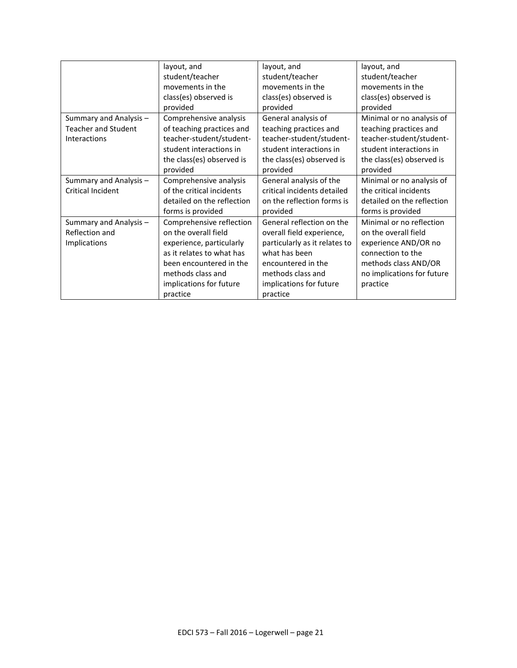|                            | layout, and                | layout, and                   | layout, and                |
|----------------------------|----------------------------|-------------------------------|----------------------------|
|                            | student/teacher            | student/teacher               | student/teacher            |
|                            | movements in the           | movements in the              | movements in the           |
|                            | class(es) observed is      | class(es) observed is         | class(es) observed is      |
|                            | provided                   | provided                      | provided                   |
| Summary and Analysis -     | Comprehensive analysis     | General analysis of           | Minimal or no analysis of  |
| <b>Teacher and Student</b> | of teaching practices and  | teaching practices and        | teaching practices and     |
| Interactions               | teacher-student/student-   | teacher-student/student-      | teacher-student/student-   |
|                            | student interactions in    | student interactions in       | student interactions in    |
|                            | the class(es) observed is  | the class(es) observed is     | the class(es) observed is  |
|                            | provided                   | provided                      | provided                   |
| Summary and Analysis -     | Comprehensive analysis     | General analysis of the       | Minimal or no analysis of  |
| <b>Critical Incident</b>   | of the critical incidents  | critical incidents detailed   | the critical incidents     |
|                            | detailed on the reflection | on the reflection forms is    | detailed on the reflection |
|                            | forms is provided          | provided                      | forms is provided          |
| Summary and Analysis -     | Comprehensive reflection   | General reflection on the     | Minimal or no reflection   |
| Reflection and             | on the overall field       | overall field experience,     | on the overall field       |
| Implications               | experience, particularly   | particularly as it relates to | experience AND/OR no       |
|                            | as it relates to what has  | what has been                 | connection to the          |
|                            | been encountered in the    | encountered in the            | methods class AND/OR       |
|                            | methods class and          | methods class and             | no implications for future |
|                            | implications for future    | implications for future       | practice                   |
|                            | practice                   | practice                      |                            |